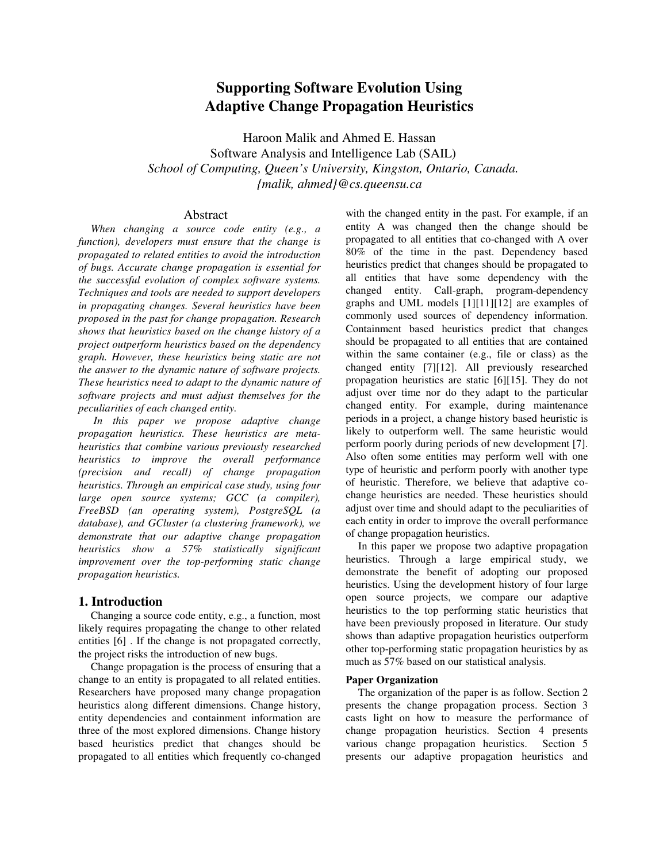# **Supporting Software Evolution Using Adaptive Change Propagation Heuristics**

Haroon Malik and Ahmed E. Hassan Software Analysis and Intelligence Lab (SAIL) *School of Computing, Queen's University, Kingston, Ontario, Canada. {malik, ahmed}@cs.queensu.ca* 

### Abstract

*When changing a source code entity (e.g., a function), developers must ensure that the change is propagated to related entities to avoid the introduction of bugs. Accurate change propagation is essential for the successful evolution of complex software systems. Techniques and tools are needed to support developers in propagating changes. Several heuristics have been proposed in the past for change propagation. Research shows that heuristics based on the change history of a project outperform heuristics based on the dependency graph. However, these heuristics being static are not the answer to the dynamic nature of software projects. These heuristics need to adapt to the dynamic nature of software projects and must adjust themselves for the peculiarities of each changed entity.* 

 *In this paper we propose adaptive change propagation heuristics. These heuristics are metaheuristics that combine various previously researched heuristics to improve the overall performance (precision and recall) of change propagation heuristics. Through an empirical case study, using four large open source systems; GCC (a compiler), FreeBSD (an operating system), PostgreSQL (a database), and GCluster (a clustering framework), we demonstrate that our adaptive change propagation heuristics show a 57% statistically significant improvement over the top-performing static change propagation heuristics.* 

### **1. Introduction**

Changing a source code entity, e.g., a function, most likely requires propagating the change to other related entities [6] . If the change is not propagated correctly, the project risks the introduction of new bugs.

Change propagation is the process of ensuring that a change to an entity is propagated to all related entities. Researchers have proposed many change propagation heuristics along different dimensions. Change history, entity dependencies and containment information are three of the most explored dimensions. Change history based heuristics predict that changes should be propagated to all entities which frequently co-changed

with the changed entity in the past. For example, if an entity A was changed then the change should be propagated to all entities that co-changed with A over 80% of the time in the past. Dependency based heuristics predict that changes should be propagated to all entities that have some dependency with the changed entity. Call-graph, program-dependency graphs and UML models [1][11][12] are examples of commonly used sources of dependency information. Containment based heuristics predict that changes should be propagated to all entities that are contained within the same container (e.g., file or class) as the changed entity [7][12]. All previously researched propagation heuristics are static [6][15]. They do not adjust over time nor do they adapt to the particular changed entity. For example, during maintenance periods in a project, a change history based heuristic is likely to outperform well. The same heuristic would perform poorly during periods of new development [7]. Also often some entities may perform well with one type of heuristic and perform poorly with another type of heuristic. Therefore, we believe that adaptive cochange heuristics are needed. These heuristics should adjust over time and should adapt to the peculiarities of each entity in order to improve the overall performance of change propagation heuristics.

In this paper we propose two adaptive propagation heuristics. Through a large empirical study, we demonstrate the benefit of adopting our proposed heuristics. Using the development history of four large open source projects, we compare our adaptive heuristics to the top performing static heuristics that have been previously proposed in literature. Our study shows than adaptive propagation heuristics outperform other top-performing static propagation heuristics by as much as 57% based on our statistical analysis.

#### **Paper Organization**

The organization of the paper is as follow. Section 2 presents the change propagation process. Section 3 casts light on how to measure the performance of change propagation heuristics. Section 4 presents various change propagation heuristics. Section 5 presents our adaptive propagation heuristics and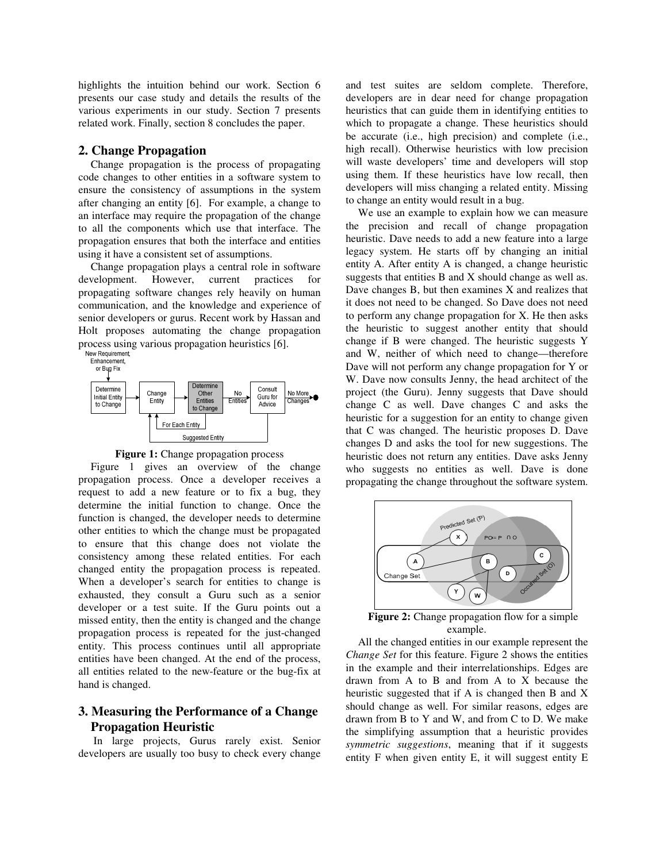highlights the intuition behind our work. Section 6 presents our case study and details the results of the various experiments in our study. Section 7 presents related work. Finally, section 8 concludes the paper.

### **2. Change Propagation**

Change propagation is the process of propagating code changes to other entities in a software system to ensure the consistency of assumptions in the system after changing an entity [6]. For example, a change to an interface may require the propagation of the change to all the components which use that interface. The propagation ensures that both the interface and entities using it have a consistent set of assumptions.

Change propagation plays a central role in software development. However, current practices for propagating software changes rely heavily on human communication, and the knowledge and experience of senior developers or gurus. Recent work by Hassan and Holt proposes automating the change propagation process using various propagation heuristics [6].<br>New Requirement.



**Figure 1:** Change propagation process

Figure 1 gives an overview of the change propagation process. Once a developer receives a request to add a new feature or to fix a bug, they determine the initial function to change. Once the function is changed, the developer needs to determine other entities to which the change must be propagated to ensure that this change does not violate the consistency among these related entities. For each changed entity the propagation process is repeated. When a developer's search for entities to change is exhausted, they consult a Guru such as a senior developer or a test suite. If the Guru points out a missed entity, then the entity is changed and the change propagation process is repeated for the just-changed entity. This process continues until all appropriate entities have been changed. At the end of the process, all entities related to the new-feature or the bug-fix at hand is changed.

## **3. Measuring the Performance of a Change Propagation Heuristic**

 In large projects, Gurus rarely exist. Senior developers are usually too busy to check every change

and test suites are seldom complete. Therefore, developers are in dear need for change propagation heuristics that can guide them in identifying entities to which to propagate a change. These heuristics should be accurate (i.e., high precision) and complete (i.e., high recall). Otherwise heuristics with low precision will waste developers' time and developers will stop using them. If these heuristics have low recall, then developers will miss changing a related entity. Missing to change an entity would result in a bug.

We use an example to explain how we can measure the precision and recall of change propagation heuristic. Dave needs to add a new feature into a large legacy system. He starts off by changing an initial entity A. After entity A is changed, a change heuristic suggests that entities B and X should change as well as. Dave changes B, but then examines X and realizes that it does not need to be changed. So Dave does not need to perform any change propagation for X. He then asks the heuristic to suggest another entity that should change if B were changed. The heuristic suggests Y and W, neither of which need to change—therefore Dave will not perform any change propagation for Y or W. Dave now consults Jenny, the head architect of the project (the Guru). Jenny suggests that Dave should change C as well. Dave changes C and asks the heuristic for a suggestion for an entity to change given that C was changed. The heuristic proposes D. Dave changes D and asks the tool for new suggestions. The heuristic does not return any entities. Dave asks Jenny who suggests no entities as well. Dave is done propagating the change throughout the software system.



**Figure 2:** Change propagation flow for a simple example.

All the changed entities in our example represent the *Change Set* for this feature. Figure 2 shows the entities in the example and their interrelationships. Edges are drawn from A to B and from A to X because the heuristic suggested that if A is changed then B and X should change as well. For similar reasons, edges are drawn from B to Y and W, and from C to D. We make the simplifying assumption that a heuristic provides *symmetric suggestions*, meaning that if it suggests entity F when given entity E, it will suggest entity E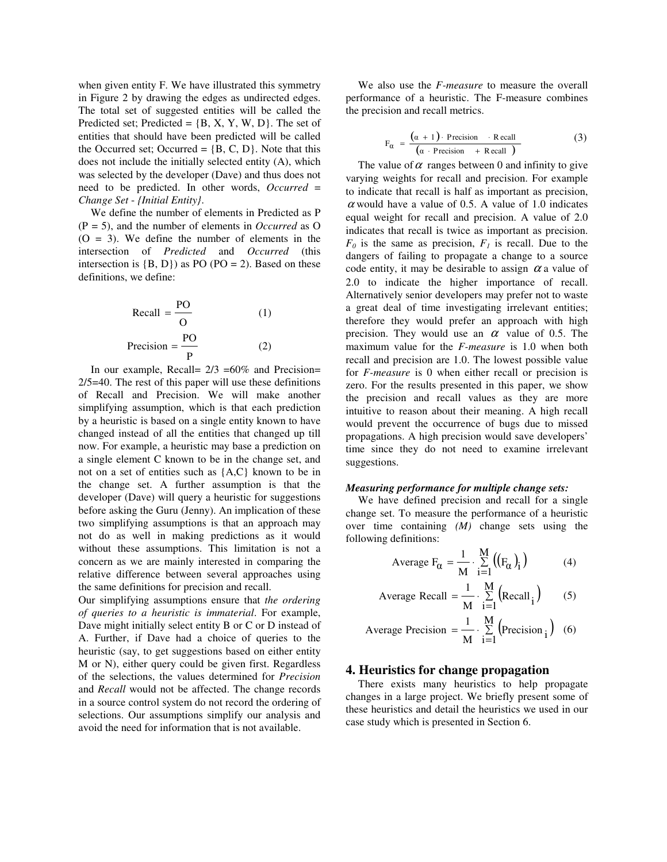when given entity F. We have illustrated this symmetry in Figure 2 by drawing the edges as undirected edges. The total set of suggested entities will be called the Predicted set; Predicted =  ${B, X, Y, W, D}$ . The set of entities that should have been predicted will be called the Occurred set; Occurred  $= \{B, C, D\}$ . Note that this does not include the initially selected entity (A), which was selected by the developer (Dave) and thus does not need to be predicted. In other words, *Occurred* = *Change Set* - *{Initial Entity}*.

We define the number of elements in Predicted as P (P = 5), and the number of elements in *Occurred* as O  $(O = 3)$ . We define the number of elements in the intersection of *Predicted* and *Occurred* (this intersection is  ${B, D}$  as PO (PO = 2). Based on these definitions, we define:

$$
Recall = \frac{PO}{O}
$$
 (1)  
Precision = 
$$
\frac{PO}{P}
$$
 (2)

In our example, Recall=  $2/3$  =60% and Precision= 2/5=40. The rest of this paper will use these definitions of Recall and Precision. We will make another simplifying assumption, which is that each prediction by a heuristic is based on a single entity known to have changed instead of all the entities that changed up till now. For example, a heuristic may base a prediction on a single element C known to be in the change set, and not on a set of entities such as {A,C} known to be in the change set. A further assumption is that the developer (Dave) will query a heuristic for suggestions before asking the Guru (Jenny). An implication of these two simplifying assumptions is that an approach may not do as well in making predictions as it would without these assumptions. This limitation is not a concern as we are mainly interested in comparing the relative difference between several approaches using the same definitions for precision and recall.

Our simplifying assumptions ensure that *the ordering of queries to a heuristic is immaterial*. For example, Dave might initially select entity B or C or D instead of A. Further, if Dave had a choice of queries to the heuristic (say, to get suggestions based on either entity M or N), either query could be given first. Regardless of the selections, the values determined for *Precision*  and *Recall* would not be affected. The change records in a source control system do not record the ordering of selections. Our assumptions simplify our analysis and avoid the need for information that is not available.

We also use the *F-measure* to measure the overall performance of a heuristic. The F-measure combines the precision and recall metrics.

$$
F_{\alpha} = \frac{(\alpha + 1) \cdot \text{Precision} \cdot \text{Real}}{(\alpha \cdot \text{Precision} + \text{Recall})}
$$
(3)

The value of  $\alpha$  ranges between 0 and infinity to give varying weights for recall and precision. For example to indicate that recall is half as important as precision,  $\alpha$  would have a value of 0.5. A value of 1.0 indicates equal weight for recall and precision. A value of 2.0 indicates that recall is twice as important as precision.  $F_0$  is the same as precision,  $F_1$  is recall. Due to the dangers of failing to propagate a change to a source code entity, it may be desirable to assign  $\alpha$  a value of 2.0 to indicate the higher importance of recall. Alternatively senior developers may prefer not to waste a great deal of time investigating irrelevant entities; therefore they would prefer an approach with high precision. They would use an  $\alpha$  value of 0.5. The maximum value for the *F-measure* is 1.0 when both recall and precision are 1.0. The lowest possible value for *F-measure* is 0 when either recall or precision is zero. For the results presented in this paper, we show the precision and recall values as they are more intuitive to reason about their meaning. A high recall would prevent the occurrence of bugs due to missed propagations. A high precision would save developers' time since they do not need to examine irrelevant suggestions.

#### *Measuring performance for multiple change sets:*

We have defined precision and recall for a single change set. To measure the performance of a heuristic over time containing *(M)* change sets using the following definitions: M

Average F<sub>$$
\alpha
$$</sub> =  $\frac{1}{M} \cdot \sum_{i=1}^{M} ((F_{\alpha})_i)$  (4)

Average Recall 
$$
=\frac{1}{M} \cdot \sum_{i=1}^{M} (\text{Recall}_{i})
$$
 (5)

Average Precision 
$$
=
$$
  $\frac{1}{M} \cdot \sum_{i=1}^{M} (\text{Precision}_{i})$  (6)

### **4. Heuristics for change propagation**

There exists many heuristics to help propagate changes in a large project. We briefly present some of these heuristics and detail the heuristics we used in our case study which is presented in Section 6.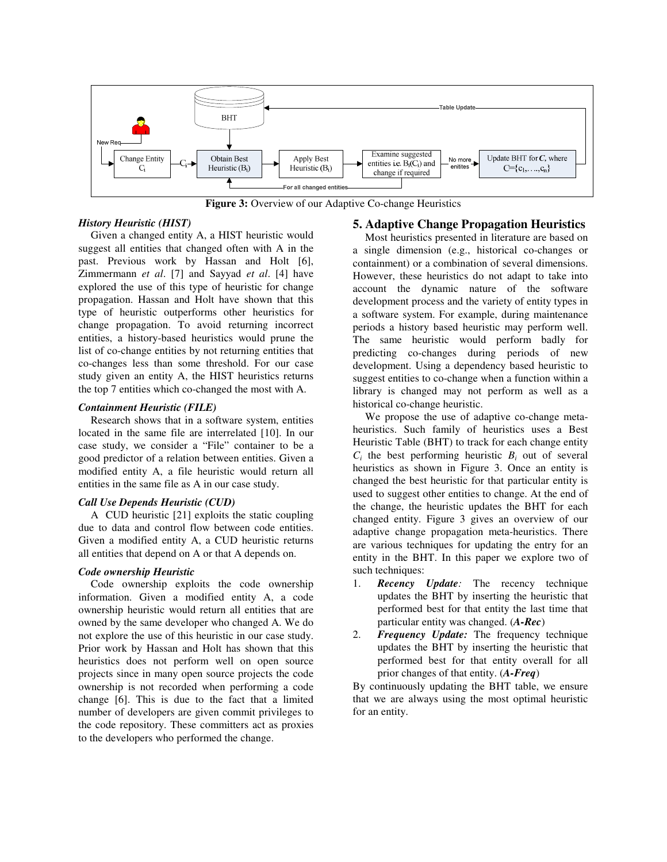

**Figure 3:** Overview of our Adaptive Co-change Heuristics

### *History Heuristic (HIST)*

Given a changed entity A, a HIST heuristic would suggest all entities that changed often with A in the past. Previous work by Hassan and Holt [6], Zimmermann *et al*. [7] and Sayyad *et al*. [4] have explored the use of this type of heuristic for change propagation. Hassan and Holt have shown that this type of heuristic outperforms other heuristics for change propagation. To avoid returning incorrect entities, a history-based heuristics would prune the list of co-change entities by not returning entities that co-changes less than some threshold. For our case study given an entity A, the HIST heuristics returns the top 7 entities which co-changed the most with A.

### *Containment Heuristic (FILE)*

Research shows that in a software system, entities located in the same file are interrelated [10]. In our case study, we consider a "File" container to be a good predictor of a relation between entities. Given a modified entity A, a file heuristic would return all entities in the same file as A in our case study.

### *Call Use Depends Heuristic (CUD)*

A CUD heuristic [21] exploits the static coupling due to data and control flow between code entities. Given a modified entity A, a CUD heuristic returns all entities that depend on A or that A depends on.

### *Code ownership Heuristic*

Code ownership exploits the code ownership information. Given a modified entity A, a code ownership heuristic would return all entities that are owned by the same developer who changed A. We do not explore the use of this heuristic in our case study. Prior work by Hassan and Holt has shown that this heuristics does not perform well on open source projects since in many open source projects the code ownership is not recorded when performing a code change [6]. This is due to the fact that a limited number of developers are given commit privileges to the code repository. These committers act as proxies to the developers who performed the change.

### **5. Adaptive Change Propagation Heuristics**

Most heuristics presented in literature are based on a single dimension (e.g., historical co-changes or containment) or a combination of several dimensions. However, these heuristics do not adapt to take into account the dynamic nature of the software development process and the variety of entity types in a software system. For example, during maintenance periods a history based heuristic may perform well. The same heuristic would perform badly for predicting co-changes during periods of new development. Using a dependency based heuristic to suggest entities to co-change when a function within a library is changed may not perform as well as a historical co-change heuristic.

We propose the use of adaptive co-change metaheuristics. Such family of heuristics uses a Best Heuristic Table (BHT) to track for each change entity  $C_i$  the best performing heuristic  $B_i$  out of several heuristics as shown in Figure 3. Once an entity is changed the best heuristic for that particular entity is used to suggest other entities to change. At the end of the change, the heuristic updates the BHT for each changed entity. Figure 3 gives an overview of our adaptive change propagation meta-heuristics. There are various techniques for updating the entry for an entity in the BHT. In this paper we explore two of such techniques:

- 1. *Recency Update:* The recency technique updates the BHT by inserting the heuristic that performed best for that entity the last time that particular entity was changed. (*A-Rec*)
- 2. *Frequency Update:* The frequency technique updates the BHT by inserting the heuristic that performed best for that entity overall for all prior changes of that entity. (*A-Freq*)

By continuously updating the BHT table, we ensure that we are always using the most optimal heuristic for an entity.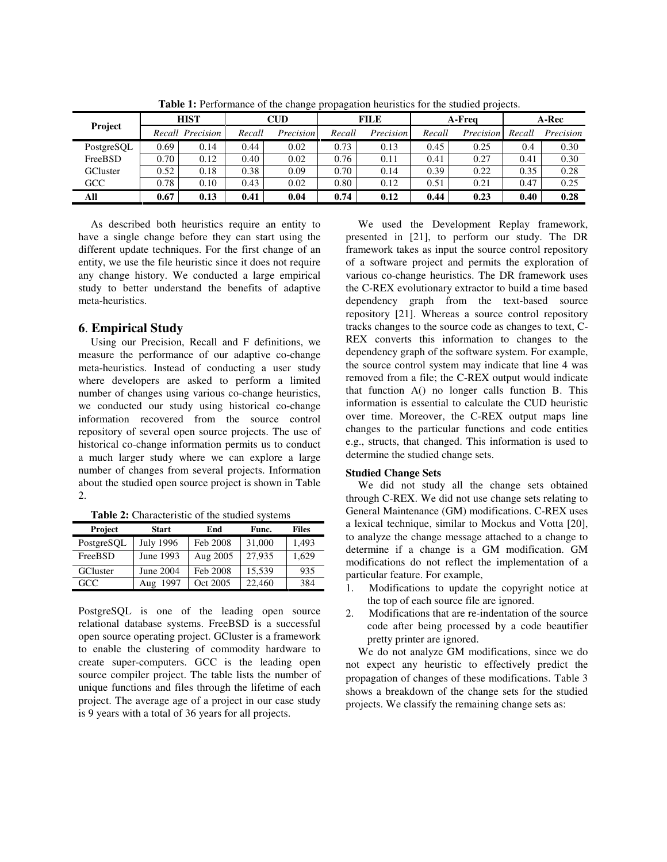| $\overline{\phantom{0}}$ |      |                  |        | ັ                                |        |             |        |           |        |           |
|--------------------------|------|------------------|--------|----------------------------------|--------|-------------|--------|-----------|--------|-----------|
| Project                  |      | <b>HIST</b>      |        | $\mathbf{C}\mathbf{U}\mathbf{D}$ |        | <b>FILE</b> |        | A-Frea    |        | A-Rec     |
|                          |      | Recall Precision | Recall | Precision                        | Recall | Precision   | Recall | Precision | Recall | Precision |
| PostgreSQL               | 0.69 | 0.14             | 0.44   | 0.02                             | 0.73   | 0.13        | 0.45   | 0.25      | 0.4    | 0.30      |
| FreeBSD                  | 0.70 | 0.12             | 0.40   | 0.02                             | 0.76   | 0.11        | 0.41   | 0.27      | 0.41   | 0.30      |
| GCluster                 | 0.52 | 0.18             | 0.38   | 0.09                             | 0.70   | 0.14        | 0.39   | 0.22      | 0.35   | 0.28      |
| GCC                      | 0.78 | 0.10             | 0.43   | 0.02                             | 0.80   | 0.12        | 0.51   | 0.21      | 0.47   | 0.25      |
| All                      | 0.67 | 0.13             | 0.41   | 0.04                             | 0.74   | 0.12        | 0.44   | 0.23      | 0.40   | 0.28      |

**Table 1:** Performance of the change propagation heuristics for the studied projects.

As described both heuristics require an entity to have a single change before they can start using the different update techniques. For the first change of an entity, we use the file heuristic since it does not require any change history. We conducted a large empirical study to better understand the benefits of adaptive meta-heuristics.

### **6**. **Empirical Study**

Using our Precision, Recall and F definitions, we measure the performance of our adaptive co-change meta-heuristics. Instead of conducting a user study where developers are asked to perform a limited number of changes using various co-change heuristics, we conducted our study using historical co-change information recovered from the source control repository of several open source projects. The use of historical co-change information permits us to conduct a much larger study where we can explore a large number of changes from several projects. Information about the studied open source project is shown in Table 2.

**Table 2:** Characteristic of the studied systems

| Project          | <b>Start</b>     | End      | Func.  | <b>Files</b> |
|------------------|------------------|----------|--------|--------------|
| PostgreSQL       | <b>July 1996</b> | Feb 2008 | 31,000 | 1.493        |
| FreeBSD          | June 1993        | Aug 2005 | 27,935 | 1,629        |
| <b>GC</b> luster | June 2004        | Feb 2008 | 15.539 | 935          |
| GCC              | 1997<br>Aug      | Oct 2005 | 22,460 | 384          |

PostgreSQL is one of the leading open source relational database systems. FreeBSD is a successful open source operating project. GCluster is a framework to enable the clustering of commodity hardware to create super-computers. GCC is the leading open source compiler project. The table lists the number of unique functions and files through the lifetime of each project. The average age of a project in our case study is 9 years with a total of 36 years for all projects.

We used the Development Replay framework, presented in [21], to perform our study. The DR framework takes as input the source control repository of a software project and permits the exploration of various co-change heuristics. The DR framework uses the C-REX evolutionary extractor to build a time based dependency graph from the text-based source repository [21]. Whereas a source control repository tracks changes to the source code as changes to text, C-REX converts this information to changes to the dependency graph of the software system. For example, the source control system may indicate that line 4 was removed from a file; the C-REX output would indicate that function A() no longer calls function B. This information is essential to calculate the CUD heuristic over time. Moreover, the C-REX output maps line changes to the particular functions and code entities e.g., structs, that changed. This information is used to determine the studied change sets.

### **Studied Change Sets**

We did not study all the change sets obtained through C-REX. We did not use change sets relating to General Maintenance (GM) modifications. C-REX uses a lexical technique, similar to Mockus and Votta [20], to analyze the change message attached to a change to determine if a change is a GM modification. GM modifications do not reflect the implementation of a particular feature. For example,

- 1. Modifications to update the copyright notice at the top of each source file are ignored.
- 2. Modifications that are re-indentation of the source code after being processed by a code beautifier pretty printer are ignored.

We do not analyze GM modifications, since we do not expect any heuristic to effectively predict the propagation of changes of these modifications. Table 3 shows a breakdown of the change sets for the studied projects. We classify the remaining change sets as: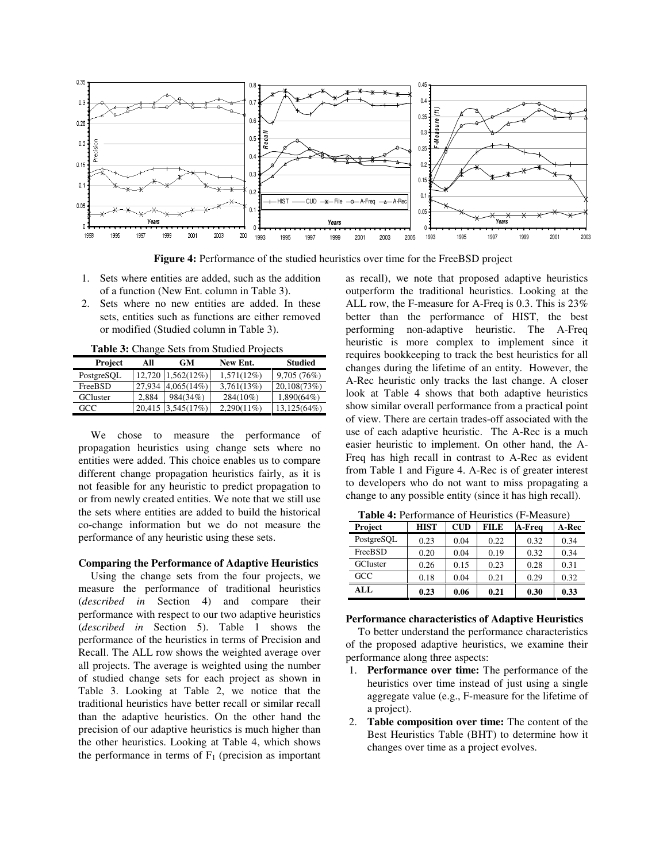

**Figure 4:** Performance of the studied heuristics over time for the FreeBSD project

- 1. Sets where entities are added, such as the addition of a function (New Ent. column in Table 3).
- 2. Sets where no new entities are added. In these sets, entities such as functions are either removed or modified (Studied column in Table 3).

| Table 3: Change Sets from Studied Projects |  |  |  |  |  |
|--------------------------------------------|--|--|--|--|--|
|--------------------------------------------|--|--|--|--|--|

| Project          | All    | GM                | New Ent.      | <b>Studied</b> |
|------------------|--------|-------------------|---------------|----------------|
| PostgreSQL       |        | 12,720 1,562(12%) | 1.571(12%)    | 9.705(76%)     |
| FreeBSD          | 27.934 | 4.065(14%)        | 3,761(13%)    | 20,108(73%)    |
| <b>GC</b> luster | 2.884  | 984(34%)          | $284(10\%)$   | 1,890(64%)     |
| GCC              | 20.415 | 3,545(17%)        | $2.290(11\%)$ | 13,125(64%)    |

We chose to measure the performance of propagation heuristics using change sets where no entities were added. This choice enables us to compare different change propagation heuristics fairly, as it is not feasible for any heuristic to predict propagation to or from newly created entities. We note that we still use the sets where entities are added to build the historical co-change information but we do not measure the performance of any heuristic using these sets.

#### **Comparing the Performance of Adaptive Heuristics**

Using the change sets from the four projects, we measure the performance of traditional heuristics (*described in* Section 4) and compare their performance with respect to our two adaptive heuristics (*described in* Section 5). Table 1 shows the performance of the heuristics in terms of Precision and Recall. The ALL row shows the weighted average over all projects. The average is weighted using the number of studied change sets for each project as shown in Table 3. Looking at Table 2, we notice that the traditional heuristics have better recall or similar recall than the adaptive heuristics. On the other hand the precision of our adaptive heuristics is much higher than the other heuristics. Looking at Table 4, which shows the performance in terms of  $F_1$  (precision as important

as recall), we note that proposed adaptive heuristics outperform the traditional heuristics. Looking at the ALL row, the F-measure for A-Freq is 0.3. This is 23% better than the performance of HIST, the best performing non-adaptive heuristic. The A-Freq heuristic is more complex to implement since it requires bookkeeping to track the best heuristics for all changes during the lifetime of an entity. However, the A-Rec heuristic only tracks the last change. A closer look at Table 4 shows that both adaptive heuristics show similar overall performance from a practical point of view. There are certain trades-off associated with the use of each adaptive heuristic. The A-Rec is a much easier heuristic to implement. On other hand, the A-Freq has high recall in contrast to A-Rec as evident from Table 1 and Figure 4. A-Rec is of greater interest to developers who do not want to miss propagating a change to any possible entity (since it has high recall).

**Table 4:** Performance of Heuristics (F-Measure)

| Project    | <b>HIST</b> | $\mathbf{C}\mathbf{U}\mathbf{D}$ | <b>FILE</b> | A-Freq | A-Rec |
|------------|-------------|----------------------------------|-------------|--------|-------|
| PostgreSQL | 0.23        | 0.04                             | 0.22        | 0.32   | 0.34  |
| FreeBSD    | 0.20        | 0.04                             | 0.19        | 0.32   | 0.34  |
| GCluster   | 0.26        | 0.15                             | 0.23        | 0.28   | 0.31  |
| GCC        | 0.18        | 0.04                             | 0.21        | 0.29   | 0.32  |
| ALL        | 0.23        | 0.06                             | 0.21        | 0.30   | 0.33  |

#### **Performance characteristics of Adaptive Heuristics**

To better understand the performance characteristics of the proposed adaptive heuristics, we examine their performance along three aspects:

- 1. **Performance over time:** The performance of the heuristics over time instead of just using a single aggregate value (e.g., F-measure for the lifetime of a project).
- 2. **Table composition over time:** The content of the Best Heuristics Table (BHT) to determine how it changes over time as a project evolves.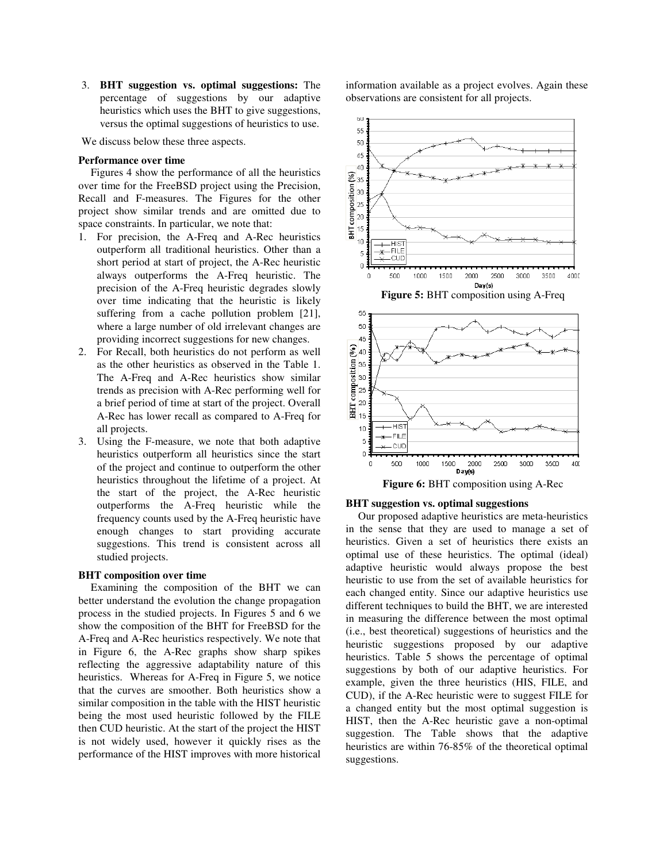3. **BHT suggestion vs. optimal suggestions:** The percentage of suggestions by our adaptive heuristics which uses the BHT to give suggestions, versus the optimal suggestions of heuristics to use.

We discuss below these three aspects.

#### **Performance over time**

Figures 4 show the performance of all the heuristics over time for the FreeBSD project using the Precision, Recall and F-measures. The Figures for the other project show similar trends and are omitted due to space constraints. In particular, we note that:

- 1. For precision, the A-Freq and A-Rec heuristics outperform all traditional heuristics. Other than a short period at start of project, the A-Rec heuristic always outperforms the A-Freq heuristic. The precision of the A-Freq heuristic degrades slowly over time indicating that the heuristic is likely suffering from a cache pollution problem [21], where a large number of old irrelevant changes are providing incorrect suggestions for new changes.
- 2. For Recall, both heuristics do not perform as well as the other heuristics as observed in the Table 1. The A-Freq and A-Rec heuristics show similar trends as precision with A-Rec performing well for a brief period of time at start of the project. Overall A-Rec has lower recall as compared to A-Freq for all projects.
- 3. Using the F-measure, we note that both adaptive heuristics outperform all heuristics since the start of the project and continue to outperform the other heuristics throughout the lifetime of a project. At the start of the project, the A-Rec heuristic outperforms the A-Freq heuristic while the frequency counts used by the A-Freq heuristic have enough changes to start providing accurate suggestions. This trend is consistent across all studied projects.

#### **BHT composition over time**

Examining the composition of the BHT we can better understand the evolution the change propagation process in the studied projects. In Figures 5 and 6 we show the composition of the BHT for FreeBSD for the A-Freq and A-Rec heuristics respectively. We note that in Figure 6, the A-Rec graphs show sharp spikes reflecting the aggressive adaptability nature of this heuristics. Whereas for A-Freq in Figure 5, we notice that the curves are smoother. Both heuristics show a similar composition in the table with the HIST heuristic being the most used heuristic followed by the FILE then CUD heuristic. At the start of the project the HIST is not widely used, however it quickly rises as the performance of the HIST improves with more historical information available as a project evolves. Again these observations are consistent for all projects.



#### **BHT suggestion vs. optimal suggestions**

Our proposed adaptive heuristics are meta-heuristics in the sense that they are used to manage a set of heuristics. Given a set of heuristics there exists an optimal use of these heuristics. The optimal (ideal) adaptive heuristic would always propose the best heuristic to use from the set of available heuristics for each changed entity. Since our adaptive heuristics use different techniques to build the BHT, we are interested in measuring the difference between the most optimal (i.e., best theoretical) suggestions of heuristics and the heuristic suggestions proposed by our adaptive heuristics. Table 5 shows the percentage of optimal suggestions by both of our adaptive heuristics. For example, given the three heuristics (HIS, FILE, and CUD), if the A-Rec heuristic were to suggest FILE for a changed entity but the most optimal suggestion is HIST, then the A-Rec heuristic gave a non-optimal suggestion. The Table shows that the adaptive heuristics are within 76-85% of the theoretical optimal suggestions.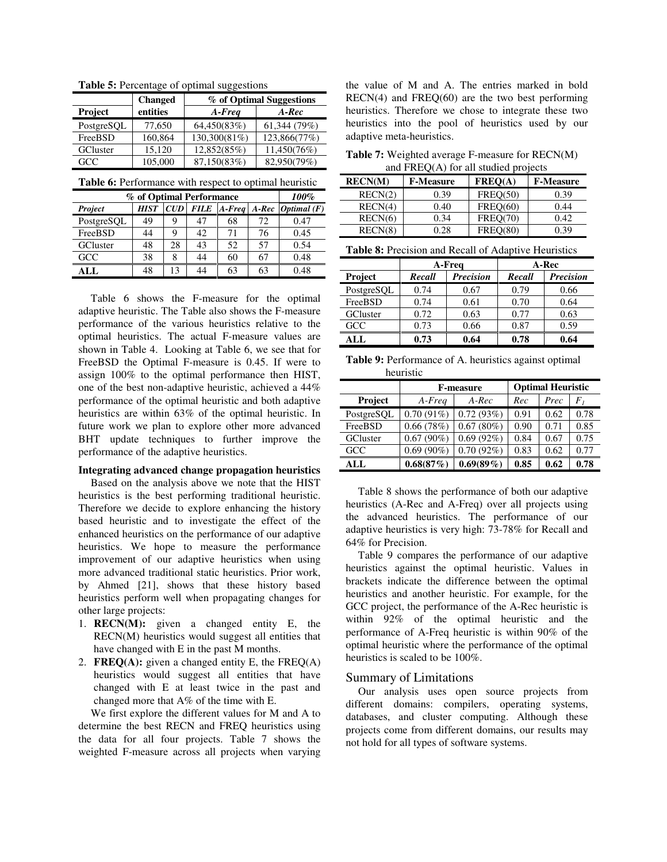|            | <b>Changed</b> | % of Optimal Suggestions |              |  |  |
|------------|----------------|--------------------------|--------------|--|--|
| Project    | entities       | A-Freq                   | A-Rec        |  |  |
| PostgreSQL | 77,650         | 64,450(83%)              | 61,344 (79%) |  |  |
| FreeBSD    | 160,864        | 130,300(81%)             | 123,866(77%) |  |  |
| GCluster   | 15,120         | 12,852(85%)              | 11,450(76%)  |  |  |
| GCC.       | 105,000        | 87,150(83%)              | 82,950(79%)  |  |  |

**Table 5:** Percentage of optimal suggestions

Table 6: Performance with respect to optimal heuristic

| % of Optimal Performance | 100%        |     |             |    |    |                                 |
|--------------------------|-------------|-----|-------------|----|----|---------------------------------|
| <b>Project</b>           | <b>HIST</b> | CUD | <b>FILE</b> |    |    | $A$ -Freq   A-Rec   Optimal (F) |
| PostgreSQL               | 49          | 9   | 47          | 68 | 72 | 0.47                            |
| FreeBSD                  | 44          | 9   | 42          | 71 | 76 | 0.45                            |
| GCluster                 | 48          | 28  | 43          | 52 | 57 | 0.54                            |
| GCC                      | 38          | 8   | 44          | 60 | 67 | 0.48                            |
| ALI.                     | 48          | 13  | 44          | 63 | 63 | 0.48                            |

Table 6 shows the F-measure for the optimal adaptive heuristic. The Table also shows the F-measure performance of the various heuristics relative to the optimal heuristics. The actual F-measure values are shown in Table 4. Looking at Table 6, we see that for FreeBSD the Optimal F-measure is 0.45. If were to assign 100% to the optimal performance then HIST, one of the best non-adaptive heuristic, achieved a 44% performance of the optimal heuristic and both adaptive heuristics are within 63% of the optimal heuristic. In future work we plan to explore other more advanced BHT update techniques to further improve the performance of the adaptive heuristics.

#### **Integrating advanced change propagation heuristics**

Based on the analysis above we note that the HIST heuristics is the best performing traditional heuristic. Therefore we decide to explore enhancing the history based heuristic and to investigate the effect of the enhanced heuristics on the performance of our adaptive heuristics. We hope to measure the performance improvement of our adaptive heuristics when using more advanced traditional static heuristics. Prior work, by Ahmed [21], shows that these history based heuristics perform well when propagating changes for other large projects:

- 1. **RECN(M):** given a changed entity E, the RECN(M) heuristics would suggest all entities that have changed with E in the past M months.
- 2. **FREQ(A):** given a changed entity E, the FREQ(A) heuristics would suggest all entities that have changed with E at least twice in the past and changed more that A% of the time with E.

We first explore the different values for M and A to determine the best RECN and FREQ heuristics using the data for all four projects. Table 7 shows the weighted F-measure across all projects when varying

the value of M and A. The entries marked in bold  $RECN(4)$  and  $FREQ(60)$  are the two best performing heuristics. Therefore we chose to integrate these two heuristics into the pool of heuristics used by our adaptive meta-heuristics.

**Table 7:** Weighted average F-measure for RECN(M) and FREQ(A) for all studied projects

| $\mu$ and $\mu$ and $\mu$ and $\mu$ and $\mu$ and $\mu$ and $\mu$ and $\mu$ and $\mu$ and $\mu$ |                  |          |                  |  |  |  |  |
|-------------------------------------------------------------------------------------------------|------------------|----------|------------------|--|--|--|--|
| RECN(M)                                                                                         | <b>F-Measure</b> | FREO(A)  | <b>F-Measure</b> |  |  |  |  |
| RECN(2)                                                                                         | 0.39             | FREO(50) | 0.39             |  |  |  |  |
| RECN(4)                                                                                         | 0.40             | FREO(60) | 0.44             |  |  |  |  |
| RECN(6)                                                                                         | 0.34             | FREO(70) | 0.42             |  |  |  |  |
| RECN(8)                                                                                         | 0.28             | FREO(80) | 0.39             |  |  |  |  |

**Table 8:** Precision and Recall of Adaptive Heuristics

|                  |                            | A-Freq |        | A-Rec            |
|------------------|----------------------------|--------|--------|------------------|
| Project          | <b>Precision</b><br>Recall |        | Recall | <b>Precision</b> |
| PostgreSQL       | 0.74                       | 0.67   | 0.79   | 0.66             |
| FreeBSD          | 0.74                       | 0.61   | 0.70   | 0.64             |
| <b>GC</b> luster | 0.72                       | 0.63   | 0.77   | 0.63             |
| GCC              | 0.73                       | 0.66   | 0.87   | 0.59             |
| ALL.             | 0.73                       | 0.64   | 0.78   | 0.64             |

**Table 9:** Performance of A. heuristics against optimal heuristic

|            | F-measure       | <b>Optimal Heuristic</b> |      |      |                |
|------------|-----------------|--------------------------|------|------|----------------|
| Project    | A-Rec<br>A-Freq |                          | Rec  | Prec | F <sub>1</sub> |
| PostgreSQL | 0.70(91%)       | 0.72(93%)                | 0.91 | 0.62 | 0.78           |
| FreeBSD    | 0.66(78%)       | 0.67(80%)                | 0.90 | 0.71 | 0.85           |
| GCluster   | $0.67(90\%)$    | 0.69(92%)                | 0.84 | 0.67 | 0.75           |
| GCC        | $0.69(90\%)$    | 0.70(92%)                | 0.83 | 0.62 | 0.77           |
| ALL.       | 0.68(87%)       | $0.69(89\%)$             | 0.85 | 0.62 | 0.78           |

Table 8 shows the performance of both our adaptive heuristics (A-Rec and A-Freq) over all projects using the advanced heuristics. The performance of our adaptive heuristics is very high: 73-78% for Recall and 64% for Precision.

Table 9 compares the performance of our adaptive heuristics against the optimal heuristic. Values in brackets indicate the difference between the optimal heuristics and another heuristic. For example, for the GCC project, the performance of the A-Rec heuristic is within 92% of the optimal heuristic and the performance of A-Freq heuristic is within 90% of the optimal heuristic where the performance of the optimal heuristics is scaled to be 100%.

#### Summary of Limitations

Our analysis uses open source projects from different domains: compilers, operating systems, databases, and cluster computing. Although these projects come from different domains, our results may not hold for all types of software systems.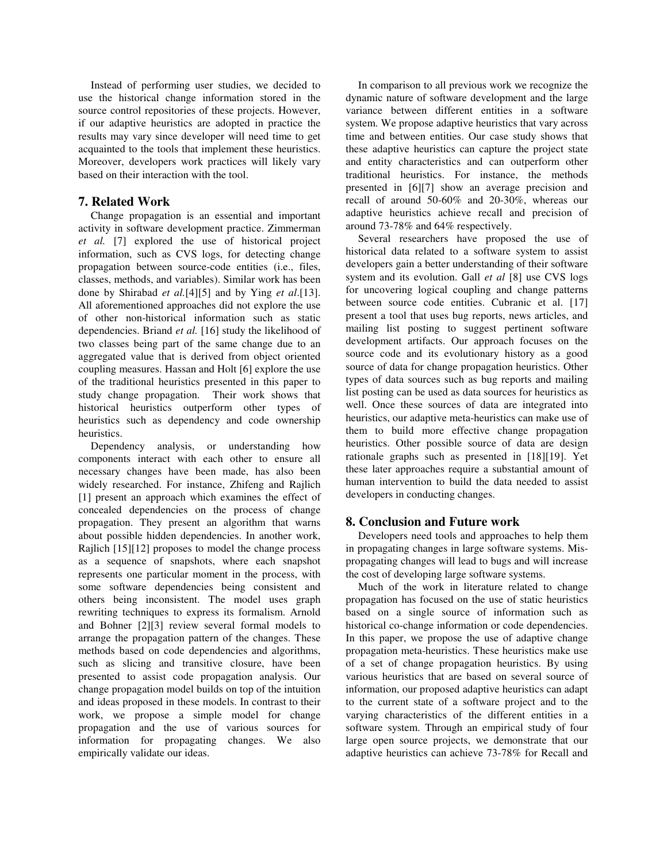Instead of performing user studies, we decided to use the historical change information stored in the source control repositories of these projects. However, if our adaptive heuristics are adopted in practice the results may vary since developer will need time to get acquainted to the tools that implement these heuristics. Moreover, developers work practices will likely vary based on their interaction with the tool.

### **7. Related Work**

Change propagation is an essential and important activity in software development practice. Zimmerman *et al.* [7] explored the use of historical project information, such as CVS logs, for detecting change propagation between source-code entities (i.e., files, classes, methods, and variables). Similar work has been done by Shirabad *et al.*[4][5] and by Ying *et al*.[13]. All aforementioned approaches did not explore the use of other non-historical information such as static dependencies. Briand *et al.* [16] study the likelihood of two classes being part of the same change due to an aggregated value that is derived from object oriented coupling measures. Hassan and Holt [6] explore the use of the traditional heuristics presented in this paper to study change propagation. Their work shows that historical heuristics outperform other types of heuristics such as dependency and code ownership heuristics.

Dependency analysis, or understanding how components interact with each other to ensure all necessary changes have been made, has also been widely researched. For instance, Zhifeng and Rajlich [1] present an approach which examines the effect of concealed dependencies on the process of change propagation. They present an algorithm that warns about possible hidden dependencies. In another work, Rajlich [15][12] proposes to model the change process as a sequence of snapshots, where each snapshot represents one particular moment in the process, with some software dependencies being consistent and others being inconsistent. The model uses graph rewriting techniques to express its formalism. Arnold and Bohner [2][3] review several formal models to arrange the propagation pattern of the changes. These methods based on code dependencies and algorithms, such as slicing and transitive closure, have been presented to assist code propagation analysis. Our change propagation model builds on top of the intuition and ideas proposed in these models. In contrast to their work, we propose a simple model for change propagation and the use of various sources for information for propagating changes. We also empirically validate our ideas.

In comparison to all previous work we recognize the dynamic nature of software development and the large variance between different entities in a software system. We propose adaptive heuristics that vary across time and between entities. Our case study shows that these adaptive heuristics can capture the project state and entity characteristics and can outperform other traditional heuristics. For instance, the methods presented in [6][7] show an average precision and recall of around 50-60% and 20-30%, whereas our adaptive heuristics achieve recall and precision of around 73-78% and 64% respectively.

Several researchers have proposed the use of historical data related to a software system to assist developers gain a better understanding of their software system and its evolution. Gall *et al* [8] use CVS logs for uncovering logical coupling and change patterns between source code entities. Cubranic et al. [17] present a tool that uses bug reports, news articles, and mailing list posting to suggest pertinent software development artifacts. Our approach focuses on the source code and its evolutionary history as a good source of data for change propagation heuristics. Other types of data sources such as bug reports and mailing list posting can be used as data sources for heuristics as well. Once these sources of data are integrated into heuristics, our adaptive meta-heuristics can make use of them to build more effective change propagation heuristics. Other possible source of data are design rationale graphs such as presented in [18][19]. Yet these later approaches require a substantial amount of human intervention to build the data needed to assist developers in conducting changes.

### **8. Conclusion and Future work**

Developers need tools and approaches to help them in propagating changes in large software systems. Mispropagating changes will lead to bugs and will increase the cost of developing large software systems.

Much of the work in literature related to change propagation has focused on the use of static heuristics based on a single source of information such as historical co-change information or code dependencies. In this paper, we propose the use of adaptive change propagation meta-heuristics. These heuristics make use of a set of change propagation heuristics. By using various heuristics that are based on several source of information, our proposed adaptive heuristics can adapt to the current state of a software project and to the varying characteristics of the different entities in a software system. Through an empirical study of four large open source projects, we demonstrate that our adaptive heuristics can achieve 73-78% for Recall and